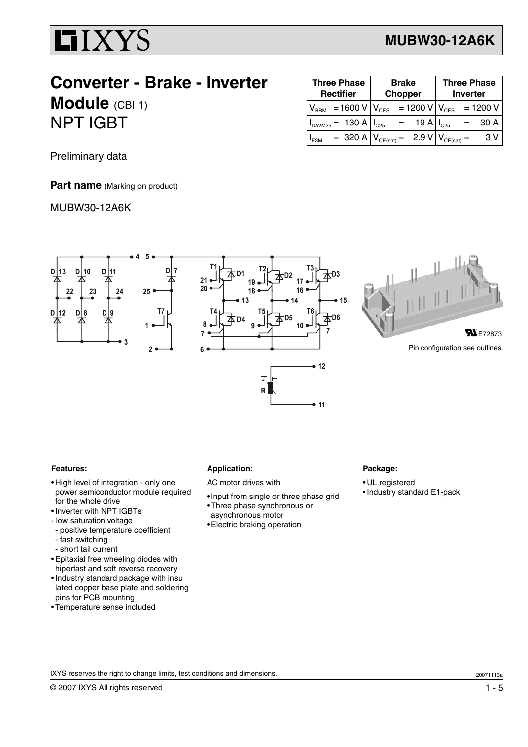

### **MUBW30-12A6K**

## **Converter - Brake - Inverter Module** (CBI 1) NPT IGBT

| <b>Three Phase</b><br><b>Rectifier</b> | <b>Brake</b><br><b>Chopper</b> | <b>Three Phase</b><br><b>Inverter</b> |
|----------------------------------------|--------------------------------|---------------------------------------|
| $V_{RRM}$ = 1600 V $V_{CES}$           | = 1200 V $V_{CES}$             | $= 1200 V$                            |
| $I_{DAVM25} = 130 A   I_{C25}$         | $=$<br>19 A                    | $I_{C25}$<br>30 A                     |
| $I_{FSM}$                              | = 320 A $V_{CE(sat)}$ = 2.9 V  | 3 V<br>$V_{CE(sat)}$ .                |

Preliminary data

**Part name** (Marking on product)

MUBW30-12A6K



#### **Features:**

- High level of integration only one power semiconductor module required for the whole drive
- •Inverter with NPT IGBTs
- low saturation voltage
- positive temperature coefficient
- fast switching
- short tail current
- Epitaxial free wheeling diodes with hiperfast and soft reverse recovery
- •Industry standard package with insu lated copper base plate and soldering pins for PCB mounting
- Temperature sense included

#### **Application:**

- AC motor drives with
- •Input from single or three phase grid
- Three phase synchronous or
- asynchronous motor
- Electric braking operation

### **Package:**

- UL registered
- •Industry standard E1-pack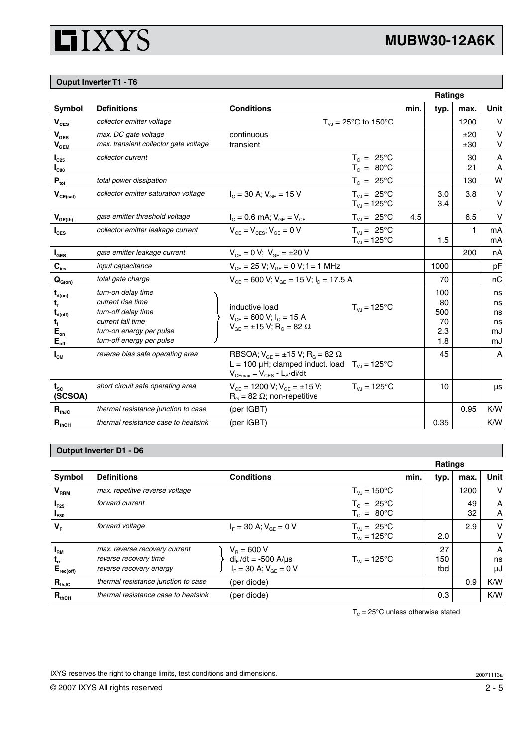

### **Ouput Inverter T1 - T6**

|                                                                                         |                                                                                                                                              |                                                                                                                                                                |      | <b>Ratings</b>                       |            |                                  |
|-----------------------------------------------------------------------------------------|----------------------------------------------------------------------------------------------------------------------------------------------|----------------------------------------------------------------------------------------------------------------------------------------------------------------|------|--------------------------------------|------------|----------------------------------|
| Symbol                                                                                  | <b>Definitions</b>                                                                                                                           | <b>Conditions</b>                                                                                                                                              | min. | typ.                                 | max.       | Unit                             |
| $V_{CES}$                                                                               | collector emitter voltage                                                                                                                    | $T_{V,I} = 25^{\circ}C$ to 150°C                                                                                                                               |      |                                      | 1200       | $\vee$                           |
| $V_{\text{GES}}$<br>$\mathsf{V}_{\mathsf{GEM}}$                                         | max. DC gate voltage<br>max. transient collector gate voltage                                                                                | continuous<br>transient                                                                                                                                        |      |                                      | ±20<br>±30 | $\vee$<br>٧                      |
| $I_{C25}$<br>$I_{C80}$                                                                  | collector current                                                                                                                            | $T_c = 25^{\circ}$ C<br>$T_c = 80^{\circ}$ C                                                                                                                   |      |                                      | 30<br>21   | A<br>A                           |
| $P_{\rm tot}$                                                                           | total power dissipation                                                                                                                      | $T_c = 25^{\circ}$ C                                                                                                                                           |      |                                      | 130        | W                                |
| $V_{CE(sat)}$                                                                           | collector emitter saturation voltage                                                                                                         | $I_c = 30$ A; $V_{cF} = 15$ V<br>$T_{V,I} = 25^{\circ}C$<br>$T_{VJ} = 125^{\circ}C$                                                                            |      | 3.0<br>3.4                           | 3.8        | v<br>v                           |
| $V_{GE(th)}$                                                                            | gate emitter threshold voltage                                                                                                               | $T_{V,I} = 25^{\circ}C$<br>$I_c = 0.6$ mA; $V_{GF} = V_{CF}$                                                                                                   | 4.5  |                                      | 6.5        | $\vee$                           |
| $I_{\text{CES}}$                                                                        | collector emitter leakage current                                                                                                            | $V_{CF} = V_{CFS}$ ; $V_{GF} = 0$ V<br>$T_{V,I} = 25^{\circ}C$<br>$T_{VJ} = 125^{\circ}C$                                                                      |      | 1.5                                  | 1          | mA<br>mA                         |
| $I_{\texttt{GES}}$                                                                      | gate emitter leakage current                                                                                                                 | $V_{CF} = 0 V$ ; $V_{GF} = \pm 20 V$                                                                                                                           |      |                                      | 200        | nA                               |
| $C_{\text{ies}}$                                                                        | input capacitance                                                                                                                            | $V_{CE}$ = 25 V; $V_{GE}$ = 0 V; f = 1 MHz                                                                                                                     |      | 1000                                 |            | рF                               |
| $\mathbf{Q}_{\text{G(0n)}}$                                                             | total gate charge                                                                                                                            | $V_{CE}$ = 600 V; V <sub>GE</sub> = 15 V; I <sub>C</sub> = 17.5 A                                                                                              |      | 70                                   |            | nC                               |
| $t_{d(on)}$<br>t,<br>$\mathbf{t}_{\text{d(off)}}$<br>t,<br>$E_{on}$<br>$E_{\text{off}}$ | turn-on delay time<br>current rise time<br>turn-off delay time<br>current fall time<br>turn-on energy per pulse<br>turn-off energy per pulse | inductive load<br>$T_{V1}$ = 125°C<br>$V_{CE}$ = 600 V; $I_C$ = 15 A<br>$V_{GE} = \pm 15 V$ ; R <sub>G</sub> = 82 $\Omega$                                     |      | 100<br>80<br>500<br>70<br>2.3<br>1.8 |            | ns<br>ns<br>ns<br>ns<br>mJ<br>mJ |
| $I_{CM}$                                                                                | reverse bias safe operating area                                                                                                             | RBSOA; $V_{GE} = \pm 15 V$ ; R <sub>G</sub> = 82 $\Omega$<br>L = 100 µH; clamped induct. load $T_{V,I} = 125^{\circ}C$<br>$V_{CEmax} = V_{CES} - L_{S}$ -di/dt |      | 45                                   |            | A                                |
| $t_{\rm sc}$<br>(SCSOA)                                                                 | short circuit safe operating area                                                                                                            | $T_{V,1} = 125^{\circ}C$<br>$V_{CE}$ = 1200 V; $V_{GE}$ = ±15 V;<br>$R_{\rm g}$ = 82 $\Omega$ ; non-repetitive                                                 |      | 10                                   |            | μs                               |
| $R_{thJC}$                                                                              | thermal resistance junction to case                                                                                                          | (per IGBT)                                                                                                                                                     |      |                                      | 0.95       | K/W                              |
| $R_{thCH}$                                                                              | thermal resistance case to heatsink                                                                                                          | (per IGBT)                                                                                                                                                     |      | 0.35                                 |            | K/W                              |

### **Output Inverter D1 - D6**

|                                                        |                                                                                   |                                                                              | <b>Ratings</b>                               |      |                  |          |               |
|--------------------------------------------------------|-----------------------------------------------------------------------------------|------------------------------------------------------------------------------|----------------------------------------------|------|------------------|----------|---------------|
| Symbol                                                 | <b>Definitions</b>                                                                | <b>Conditions</b>                                                            |                                              | min. | typ.             | max.     | Unit          |
| V <sub>RRM</sub>                                       | max. repetitve reverse voltage                                                    |                                                                              | $T_{V} = 150^{\circ}$ C                      |      |                  | 1200     | v             |
| $I_{F25}$<br>I <sub>F80</sub>                          | forward current                                                                   |                                                                              | $T_c = 25^{\circ}C$<br>$T_c = 80^{\circ}$ C  |      |                  | 49<br>32 | A<br>A        |
| $V_F$                                                  | forward voltage                                                                   | $I_{\rm E} = 30 \text{ A}; V_{\rm GF} = 0 \text{ V}$                         | $T_{V,I} = 25^{\circ}C$<br>$T_{V,I}$ = 125°C |      | 2.0              | 2.9      | v<br>v        |
| I <sub>RM</sub><br>$\mathbf{t}_{rr}$<br>$E_{rec(off)}$ | max. reverse recovery current<br>reverse recovery time<br>reverse recovery energy | $V_{B} = 600 V$<br>$di_F/dt = -500$ A/ $\mu$ s<br>$I_F = 30 A; V_{GF} = 0 V$ | $T_{V1}$ = 125°C                             |      | 27<br>150<br>tbd |          | A<br>ns<br>μJ |
| $R_{thJC}$                                             | thermal resistance junction to case                                               | (per diode)                                                                  |                                              |      |                  | 0.9      | K/W           |
| $R_{thCH}$                                             | thermal resistance case to heatsink                                               | (per diode)                                                                  |                                              |      | 0.3              |          | K/W           |

 $T_c = 25^{\circ}$ C unless otherwise stated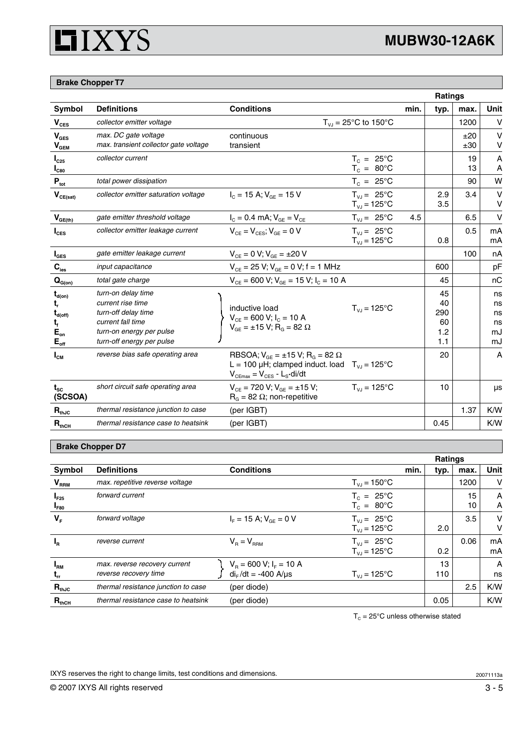# **HIXYS**

### **Brake Chopper T7**

|                                                                                                           |                                                                                                                                              |                                                                                                                                                                   |                                              |      |                                     | <b>Ratings</b> |                                  |
|-----------------------------------------------------------------------------------------------------------|----------------------------------------------------------------------------------------------------------------------------------------------|-------------------------------------------------------------------------------------------------------------------------------------------------------------------|----------------------------------------------|------|-------------------------------------|----------------|----------------------------------|
| Symbol                                                                                                    | <b>Definitions</b>                                                                                                                           | <b>Conditions</b>                                                                                                                                                 |                                              | min. | typ.                                | max.           | Unit                             |
| $\mathbf{V}_{\texttt{CES}}$                                                                               | collector emitter voltage                                                                                                                    |                                                                                                                                                                   | $T_{V,I}$ = 25°C to 150°C                    |      |                                     | 1200           | $\vee$                           |
| $V_{\text{GES}}$<br>$\mathbf{V}_{\texttt{GEM}}$                                                           | max. DC gate voltage<br>max. transient collector gate voltage                                                                                | continuous<br>transient                                                                                                                                           |                                              |      |                                     | ±20<br>±30     | $\vee$<br>٧                      |
| $I_{C25}$<br>I <sub>C80</sub>                                                                             | collector current                                                                                                                            |                                                                                                                                                                   | $T_c = 25^{\circ}$ C<br>$T_c = 80^{\circ}$ C |      |                                     | 19<br>13       | A<br>A                           |
| $\mathbf{P}_{\mathrm{tot}}$                                                                               | total power dissipation                                                                                                                      |                                                                                                                                                                   | $T_c = 25^{\circ}C$                          |      |                                     | 90             | W                                |
| $\mathbf{V}_{\text{CE(sat)}}$                                                                             | collector emitter saturation voltage                                                                                                         | $I_c = 15$ A; $V_{SF} = 15$ V                                                                                                                                     | $T_{V,I} = 25^{\circ}C$<br>$T_{VJ} = 125$ °C |      | 2.9<br>3.5                          | 3.4            | $\vee$<br>v                      |
| $V_{GE(th)}$                                                                                              | gate emitter threshold voltage                                                                                                               | $I_{C} = 0.4$ mA; $V_{GE} = V_{CE}$                                                                                                                               | $T_{VJ} = 25^{\circ}C$                       | 4.5  |                                     | 6.5            | $\vee$                           |
| $I_{\text{CES}}$                                                                                          | collector emitter leakage current                                                                                                            | $V_{CF} = V_{CFS}$ ; $V_{GF} = 0$ V                                                                                                                               | $T_{VJ} = 25^{\circ}C$<br>$T_{VJ} = 125$ °C  |      | 0.8                                 | 0.5            | mA<br>mA                         |
| $I_{\texttt{GES}}$                                                                                        | gate emitter leakage current                                                                                                                 | $V_{CF} = 0 V; V_{GF} = \pm 20 V$                                                                                                                                 |                                              |      |                                     | 100            | nA                               |
| $C_{\text{ies}}$                                                                                          | input capacitance                                                                                                                            | $V_{CE}$ = 25 V; $V_{GE}$ = 0 V; f = 1 MHz                                                                                                                        |                                              |      | 600                                 |                | pF                               |
| $\mathbf{Q}_{\text{G(on)}}$                                                                               | total gate charge                                                                                                                            | $V_{CE}$ = 600 V; $V_{GE}$ = 15 V; $I_c$ = 10 A                                                                                                                   |                                              |      | 45                                  |                | nC                               |
| $t_{\text{d}(on)}$<br>t,<br>$\mathbf{t}_{\text{d(off)}}$<br>t,<br>$E_{on}$<br>$\mathsf{E}_{\mathsf{off}}$ | turn-on delay time<br>current rise time<br>turn-off delay time<br>current fall time<br>turn-on energy per pulse<br>turn-off energy per pulse | inductive load<br>$V_{CE}$ = 600 V; $I_C$ = 10 A<br>$V_{GE} = \pm 15 V$ ; R <sub>G</sub> = 82 Ω                                                                   | $T_{V,I} = 125^{\circ}C$                     |      | 45<br>40<br>290<br>60<br>1.2<br>1.1 |                | ns<br>ns<br>ns<br>ns<br>mJ<br>mJ |
| $I_{\text{CM}}$                                                                                           | reverse bias safe operating area                                                                                                             | RBSOA; $V_{GE} = \pm 15 V$ ; R <sub>G</sub> = 82 $\Omega$<br>L = 100 µH; clamped induct. load $T_{V,I}$ = 125°C<br>$V_{CEmax} = V_{CES} - L_S \cdot \text{di/dt}$ |                                              |      | 20                                  |                | A                                |
| $t_{\rm sc}$<br>(SCSOA)                                                                                   | short circuit safe operating area                                                                                                            | $V_{CF}$ = 720 V; $V_{GF}$ = ±15 V;<br>$R_{G}$ = 82 $\Omega$ ; non-repetitive                                                                                     | $T_{V,J}$ = 125°C                            |      | 10                                  |                | μs                               |
| $R_{thJC}$                                                                                                | thermal resistance junction to case                                                                                                          | (per IGBT)                                                                                                                                                        |                                              |      |                                     | 1.37           | K/W                              |
| $R_{thCH}$                                                                                                | thermal resistance case to heatsink                                                                                                          | (per IGBT)                                                                                                                                                        |                                              |      | 0.45                                |                | K/W                              |

### **Brake Chopper D7**

|                          |                                                        |                                                              |                                              | <b>Ratings</b> |          |             |
|--------------------------|--------------------------------------------------------|--------------------------------------------------------------|----------------------------------------------|----------------|----------|-------------|
| Symbol                   | <b>Definitions</b>                                     | <b>Conditions</b>                                            | min.                                         | typ.           | max.     | <b>Unit</b> |
| V <sub>RRM</sub>         | max. repetitive reverse voltage                        |                                                              | $T_{V,I} = 150^{\circ}C$                     |                | 1200     | v           |
| $I_{F25}$<br>$I_{F80}$   | forward current                                        |                                                              | $T_c = 25^{\circ}C$<br>$T_c = 80^{\circ}$ C  |                | 15<br>10 | A<br>A      |
| $V_{F}$                  | forward voltage                                        | $I_{F} = 15$ A; $V_{GF} = 0$ V                               | $T_{V,I} = 25^{\circ}C$<br>$T_{V,I}$ = 125°C | 2.0            | 3.5      | v<br>v      |
| $I_R$                    | reverse current                                        | $V_B = V_{BBM}$                                              | $T_{V1} = 25^{\circ}C$<br>$T_{V,I}$ = 125°C  | 0.2            | 0.06     | mA<br>mА    |
| $I_{\rm RM}$<br>$t_{rr}$ | max. reverse recovery current<br>reverse recovery time | $V_R = 600 V; I_F = 10 A$<br>di <sub>F</sub> /dt = -400 A/µs | $T_{V1} = 125$ °C                            | 13<br>110      |          | A<br>ns     |
| $R_{thJC}$               | thermal resistance junction to case                    | (per diode)                                                  |                                              |                | 2.5      | K/W         |
| $R_{thCH}$               | thermal resistance case to heatsink                    | (per diode)                                                  |                                              | 0.05           |          | K/W         |

 $T_c = 25^{\circ}$ C unless otherwise stated

IXYS reserves the right to change limits, test conditions and dimensions.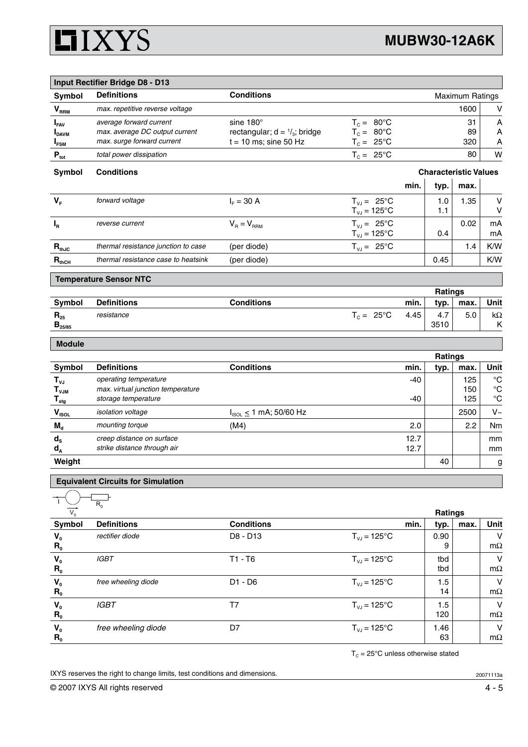

|                                                      | <b>Input Rectifier Bridge D8 - D13</b>                                                  |                                                                                 |                                                                     |                              |                 |                        |                                                 |
|------------------------------------------------------|-----------------------------------------------------------------------------------------|---------------------------------------------------------------------------------|---------------------------------------------------------------------|------------------------------|-----------------|------------------------|-------------------------------------------------|
| Symbol                                               | <b>Definitions</b>                                                                      | <b>Conditions</b>                                                               |                                                                     |                              |                 | <b>Maximum Ratings</b> |                                                 |
| V <sub>RRM</sub>                                     | max. repetitive reverse voltage                                                         |                                                                                 |                                                                     |                              |                 | 1600                   | V                                               |
| $I_{FAV}$<br><b>I</b> <sub>DAVM</sub><br>$I_{FSM}$   | average forward current<br>max. average DC output current<br>max. surge forward current | sine 180°<br>rectangular; $d = \frac{1}{3}$ ; bridge<br>$t = 10$ ms; sine 50 Hz | $T_c = 80^{\circ}$ C<br>$T_c = 80^{\circ}$ C<br>$T_c = 25^{\circ}C$ |                              |                 | 31<br>89<br>320        | A<br>A<br>A                                     |
| $\mathbf{P}_{\text{tot}}$                            | total power dissipation                                                                 |                                                                                 | $T_c = 25^{\circ}C$                                                 |                              |                 | 80                     | W                                               |
| Symbol                                               | <b>Conditions</b>                                                                       |                                                                                 |                                                                     | <b>Characteristic Values</b> |                 |                        |                                                 |
|                                                      |                                                                                         |                                                                                 |                                                                     | min.                         | typ.            | max.                   |                                                 |
| $V_F$                                                | forward voltage                                                                         | $I_F = 30 A$                                                                    | $T_{VJ} = 25^{\circ}C$<br>$T_{VJ}$ = 125°C                          |                              | 1.0<br>1.1      | 1.35                   | V<br>$\vee$                                     |
| $I_R$                                                | reverse current                                                                         | $V_B = V_{BBM}$                                                                 | $T_{V,I} = 25^{\circ}C$<br>$T_{VJ} = 125^{\circ}C$                  |                              | 0.4             | 0.02                   | mA<br>mA                                        |
| $\mathbf{R}_{\text{thJC}}$                           | thermal resistance junction to case                                                     | (per diode)                                                                     | $T_{VJ} = 25^{\circ}C$                                              |                              |                 | 1.4                    | K/W                                             |
| $\mathbf{R}_{\text{thCH}}$                           | thermal resistance case to heatsink                                                     | (per diode)                                                                     |                                                                     |                              | 0.45            |                        | K/W                                             |
|                                                      | <b>Temperature Sensor NTC</b>                                                           |                                                                                 |                                                                     |                              |                 |                        |                                                 |
|                                                      |                                                                                         |                                                                                 |                                                                     |                              | Ratings         |                        |                                                 |
| Symbol                                               | <b>Definitions</b>                                                                      | <b>Conditions</b>                                                               |                                                                     | min.                         | typ.            | max.                   | Unit                                            |
| $\mathbf{R}_{\scriptscriptstyle{25}}$<br>$B_{25/85}$ | resistance                                                                              |                                                                                 | $T_c = 25^{\circ}C$                                                 | 4.45                         | 4.7<br>3510     | 5.0                    | k $\Omega$<br>Κ                                 |
|                                                      |                                                                                         |                                                                                 |                                                                     |                              |                 |                        |                                                 |
| <b>Module</b>                                        |                                                                                         |                                                                                 |                                                                     |                              |                 |                        |                                                 |
|                                                      |                                                                                         |                                                                                 |                                                                     |                              | Ratings         |                        |                                                 |
| Symbol                                               | <b>Definitions</b>                                                                      | <b>Conditions</b>                                                               |                                                                     | min.                         | typ.            | max.                   | Unit                                            |
| $T_{VJ}$<br>$T_{VJM}$                                | operating temperature<br>max. virtual junction temperature<br>storage temperature       |                                                                                 |                                                                     | -40<br>-40                   |                 | 125<br>150<br>125      | $^{\circ}C$<br>$^{\circ}C$<br>$^{\circ}{\rm C}$ |
| $\mathsf{T}_{\sf{stg}}$                              | isolation voltage                                                                       | $I_{ISOL} \leq 1$ mA; 50/60 Hz                                                  |                                                                     |                              |                 | 2500                   | $V~\sim$                                        |
| $V_{ISOL}$<br>$M_{d}$                                | mounting torque                                                                         | (M4)                                                                            |                                                                     | 2.0                          |                 | 2.2                    | Nm                                              |
| $d_{s}$<br>$d_A$                                     | creep distance on surface<br>strike distance through air                                |                                                                                 |                                                                     | 12.7<br>12.7                 |                 |                        | mm<br>mm                                        |
| Weight                                               |                                                                                         |                                                                                 |                                                                     |                              | 40              |                        | g                                               |
|                                                      |                                                                                         |                                                                                 |                                                                     |                              |                 |                        |                                                 |
|                                                      | <b>Equivalent Circuits for Simulation</b><br>$R_0$                                      |                                                                                 |                                                                     |                              |                 |                        |                                                 |
| Symbol                                               | <b>Definitions</b>                                                                      | <b>Conditions</b>                                                               |                                                                     | min.                         | Ratings<br>typ. | max.                   | Unit                                            |
| $V_0$<br>$R_{0}$                                     | rectifier diode                                                                         | D8 - D13                                                                        | $T_{VJ} = 125^{\circ}C$                                             |                              | 0.90<br>9       |                        | $\vee$<br>$m\Omega$                             |
| $V_{0}$<br>$R_{0}$                                   | <b>IGBT</b>                                                                             | $T1 - T6$                                                                       | $T_{VJ} = 125$ °C                                                   |                              | tbd<br>tbd      |                        | $\vee$<br>$m\Omega$                             |

*IGBT* T7 TVJ = 125°C 1.5

*free wheeling diode* D7 D7  $T_{VJ} = 125^{\circ}$ C 1.46

 $T_c = 25^{\circ}$ C unless otherwise stated

14

120

63

IXYS reserves the right to change limits, test conditions and dimensions.

 $\mathsf{R}_{\scriptscriptstyle{0}}$ 

 $\mathsf{V_0}$  $\mathsf{R}_{\scriptscriptstyle{0}}$ 

**v**<sub>0</sub>  $\mathbf{R}_0$   $m\Omega$ 

V  $m\Omega$ 

 $\overline{\mathsf{v}}$  $m\Omega$